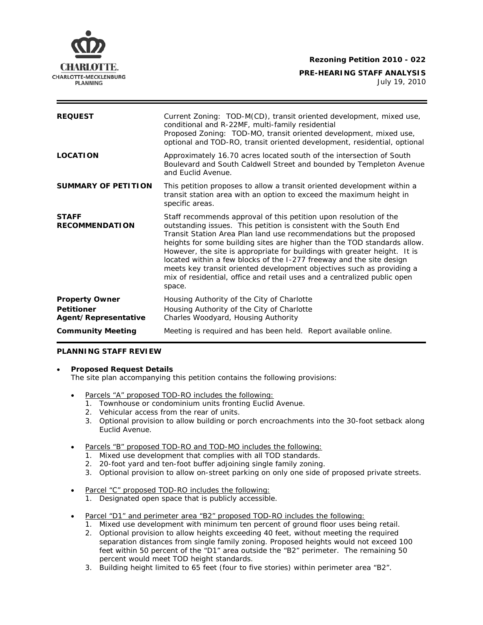

**PRE-HEARING STAFF ANALYSIS**  July 19, 2010

| <b>REQUEST</b>                                                     | Current Zoning: TOD-M(CD), transit oriented development, mixed use,<br>conditional and R-22MF, multi-family residential<br>Proposed Zoning: TOD-MO, transit oriented development, mixed use,<br>optional and TOD-RO, transit oriented development, residential, optional                                                                                                                                                                                                                                                                                                                                       |
|--------------------------------------------------------------------|----------------------------------------------------------------------------------------------------------------------------------------------------------------------------------------------------------------------------------------------------------------------------------------------------------------------------------------------------------------------------------------------------------------------------------------------------------------------------------------------------------------------------------------------------------------------------------------------------------------|
| <b>LOCATION</b>                                                    | Approximately 16.70 acres located south of the intersection of South<br>Boulevard and South Caldwell Street and bounded by Templeton Avenue<br>and Euclid Avenue.                                                                                                                                                                                                                                                                                                                                                                                                                                              |
| <b>SUMMARY OF PETITION</b>                                         | This petition proposes to allow a transit oriented development within a<br>transit station area with an option to exceed the maximum height in<br>specific areas.                                                                                                                                                                                                                                                                                                                                                                                                                                              |
| <b>STAFF</b><br><b>RECOMMENDATION</b>                              | Staff recommends approval of this petition upon resolution of the<br>outstanding issues. This petition is consistent with the South End<br>Transit Station Area Plan land use recommendations but the proposed<br>heights for some building sites are higher than the TOD standards allow.<br>However, the site is appropriate for buildings with greater height. It is<br>located within a few blocks of the I-277 freeway and the site design<br>meets key transit oriented development objectives such as providing a<br>mix of residential, office and retail uses and a centralized public open<br>space. |
| <b>Property Owner</b><br><b>Petitioner</b><br>Agent/Representative | Housing Authority of the City of Charlotte<br>Housing Authority of the City of Charlotte<br>Charles Woodyard, Housing Authority                                                                                                                                                                                                                                                                                                                                                                                                                                                                                |
| <b>Community Meeting</b>                                           | Meeting is required and has been held. Report available online.                                                                                                                                                                                                                                                                                                                                                                                                                                                                                                                                                |

# **PLANNING STAFF REVIEW**

### • **Proposed Request Details**

The site plan accompanying this petition contains the following provisions:

- Parcels "A" proposed TOD-RO includes the following:
	- 1. Townhouse or condominium units fronting Euclid Avenue.
	- 2. Vehicular access from the rear of units.
	- 3. Optional provision to allow building or porch encroachments into the 30-foot setback along Euclid Avenue.
- Parcels "B" proposed TOD-RO and TOD-MO includes the following:
	- 1. Mixed use development that complies with all TOD standards.
	- 2. 20-foot yard and ten-foot buffer adjoining single family zoning.
	- 3. Optional provision to allow on-street parking on only one side of proposed private streets.
- Parcel "C" proposed TOD-RO includes the following:
	- 1. Designated open space that is publicly accessible.
- Parcel "D1" and perimeter area "B2" proposed TOD-RO includes the following:
	- 1. Mixed use development with minimum ten percent of ground floor uses being retail.
	- 2. Optional provision to allow heights exceeding 40 feet, without meeting the required separation distances from single family zoning. Proposed heights would not exceed 100 feet within 50 percent of the "D1" area outside the "B2" perimeter. The remaining 50 percent would meet TOD height standards.
	- 3. Building height limited to 65 feet (four to five stories) within perimeter area "B2".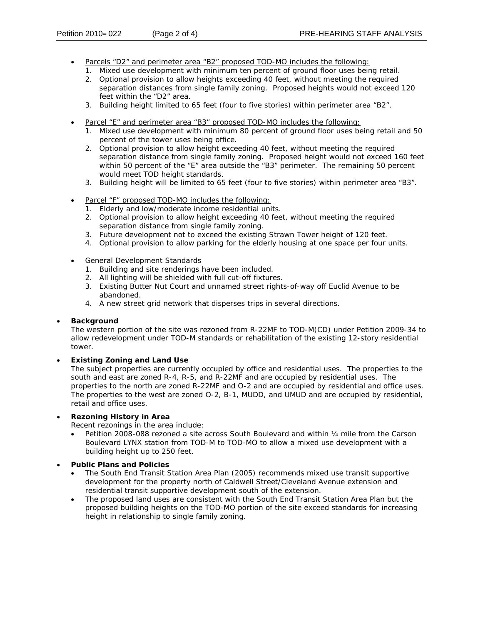- Parcels "D2" and perimeter area "B2" proposed TOD-MO includes the following:
	- 1. Mixed use development with minimum ten percent of ground floor uses being retail.
	- 2. Optional provision to allow heights exceeding 40 feet, without meeting the required separation distances from single family zoning. Proposed heights would not exceed 120 feet within the "D2" area.
	- 3. Building height limited to 65 feet (four to five stories) within perimeter area "B2".
- Parcel "E" and perimeter area "B3" proposed TOD-MO includes the following:
	- 1. Mixed use development with minimum 80 percent of ground floor uses being retail and 50 percent of the tower uses being office.
	- 2. Optional provision to allow height exceeding 40 feet, without meeting the required separation distance from single family zoning. Proposed height would not exceed 160 feet within 50 percent of the "E" area outside the "B3" perimeter. The remaining 50 percent would meet TOD height standards.
	- 3. Building height will be limited to 65 feet (four to five stories) within perimeter area "B3".
- Parcel "F" proposed TOD-MO includes the following:
	- 1. Elderly and low/moderate income residential units.
	- 2. Optional provision to allow height exceeding 40 feet, without meeting the required separation distance from single family zoning.
	- 3. Future development not to exceed the existing Strawn Tower height of 120 feet.
	- 4. Optional provision to allow parking for the elderly housing at one space per four units.
- General Development Standards
	- 1. Building and site renderings have been included.
	- 2. All lighting will be shielded with full cut-off fixtures.
	- 3. Existing Butter Nut Court and unnamed street rights-of-way off Euclid Avenue to be abandoned.
	- 4. A new street grid network that disperses trips in several directions.

### • **Background**

The western portion of the site was rezoned from R-22MF to TOD-M(CD) under Petition 2009-34 to allow redevelopment under TOD-M standards or rehabilitation of the existing 12-story residential tower.

## • **Existing Zoning and Land Use**

The subject properties are currently occupied by office and residential uses. The properties to the south and east are zoned R-4, R-5, and R-22MF and are occupied by residential uses. The properties to the north are zoned R-22MF and O-2 and are occupied by residential and office uses. The properties to the west are zoned O-2, B-1, MUDD, and UMUD and are occupied by residential, retail and office uses.

### • **Rezoning History in Area**

Recent rezonings in the area include:

- Petition 2008-088 rezoned a site across South Boulevard and within 1/4 mile from the Carson Boulevard LYNX station from TOD-M to TOD-MO to allow a mixed use development with a building height up to 250 feet.
- **Public Plans and Policies**
	- The *South End Transit Station Area Plan* (2005) recommends mixed use transit supportive development for the property north of Caldwell Street/Cleveland Avenue extension and residential transit supportive development south of the extension.
	- The proposed land uses are consistent with the *South End Transit Station Area Plan* but the proposed building heights on the TOD-MO portion of the site exceed standards for increasing height in relationship to single family zoning.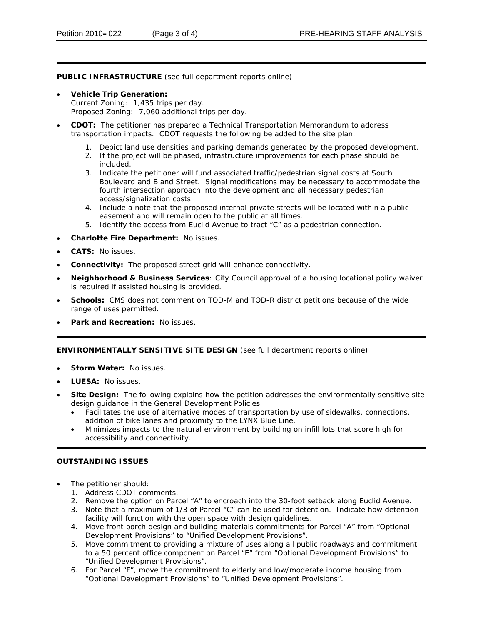**PUBLIC INFRASTRUCTURE** (see full department reports online)

- **Vehicle Trip Generation:** Current Zoning: 1,435 trips per day. Proposed Zoning: 7,060 additional trips per day.
- **CDOT:** The petitioner has prepared a Technical Transportation Memorandum to address transportation impacts. CDOT requests the following be added to the site plan:
	- 1. Depict land use densities and parking demands generated by the proposed development.
	- 2. If the project will be phased, infrastructure improvements for each phase should be included.
	- 3. Indicate the petitioner will fund associated traffic/pedestrian signal costs at South Boulevard and Bland Street. Signal modifications may be necessary to accommodate the fourth intersection approach into the development and all necessary pedestrian access/signalization costs.
	- 4. Include a note that the proposed internal private streets will be located within a public easement and will remain open to the public at all times.
	- 5. Identify the access from Euclid Avenue to tract "C" as a pedestrian connection.
- **Charlotte Fire Department:** No issues.
- **CATS:** No issues.
- **Connectivity:** The proposed street grid will enhance connectivity.
- Neighborhood & Business Services: City Council approval of a housing locational policy waiver is required if assisted housing is provided.
- **Schools:** CMS does not comment on TOD-M and TOD-R district petitions because of the wide range of uses permitted.
- **Park and Recreation: No issues.**

### **ENVIRONMENTALLY SENSITIVE SITE DESIGN** (see full department reports online)

- **Storm Water: No issues.**
- **LUESA:** No issues.
- Site Design: The following explains how the petition addresses the environmentally sensitive site design guidance in the *General Development Policies.* 
	- addition of bike lanes and proximity to the LYNX Blue Line. • Facilitates the use of alternative modes of transportation by use of sidewalks, connections,
	- Minimizes impacts to the natural environment by building on infill lots that score high for accessibility and connectivity.

### **OUTSTANDING ISSUES**

- The petitioner should:
	- 1. Address CDOT comments.
	- 2. Remove the option on Parcel "A" to encroach into the 30-foot setback along Euclid Avenue.
	- 3. Note that a maximum of 1/3 of Parcel "C" can be used for detention. Indicate how detention facility will function with the open space with design guidelines.
	- 4. Move front porch design and building materials commitments for Parcel "A" from "Optional Development Provisions" to "Unified Development Provisions".
	- 5. Move commitment to providing a mixture of uses along all public roadways and commitment to a 50 percent office component on Parcel "E" from "Optional Development Provisions" to "Unified Development Provisions".
	- 6. For Parcel "F", move the commitment to elderly and low/moderate income housing from "Optional Development Provisions" to "Unified Development Provisions".